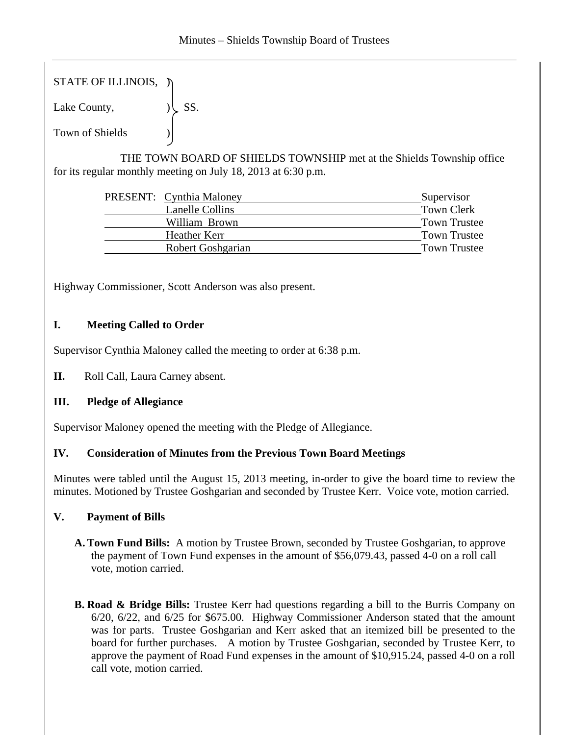STATE OF ILLINOIS,  $\tilde{y}$ 

Lake County,  $|\text{S}S|$ .

Town of Shields )

 THE TOWN BOARD OF SHIELDS TOWNSHIP met at the Shields Township office for its regular monthly meeting on July 18, 2013 at 6:30 p.m.

| <b>PRESENT:</b> Cynthia Maloney | Supervisor          |
|---------------------------------|---------------------|
| <b>Lanelle Collins</b>          | Town Clerk          |
| William Brown                   | <b>Town Trustee</b> |
| Heather Kerr                    | Town Trustee        |
| Robert Goshgarian               | <b>Town Trustee</b> |

Highway Commissioner, Scott Anderson was also present.

# **I. Meeting Called to Order**

Supervisor Cynthia Maloney called the meeting to order at 6:38 p.m.

**II.** Roll Call, Laura Carney absent.

# **III. Pledge of Allegiance**

Supervisor Maloney opened the meeting with the Pledge of Allegiance.

# **IV. Consideration of Minutes from the Previous Town Board Meetings**

Minutes were tabled until the August 15, 2013 meeting, in-order to give the board time to review the minutes. Motioned by Trustee Goshgarian and seconded by Trustee Kerr. Voice vote, motion carried.

# **V. Payment of Bills**

- **A.Town Fund Bills:** A motion by Trustee Brown, seconded by Trustee Goshgarian, to approve the payment of Town Fund expenses in the amount of \$56,079.43, passed 4-0 on a roll call vote, motion carried.
- **B. Road & Bridge Bills:** Trustee Kerr had questions regarding a bill to the Burris Company on 6/20, 6/22, and 6/25 for \$675.00. Highway Commissioner Anderson stated that the amount was for parts. Trustee Goshgarian and Kerr asked that an itemized bill be presented to the board for further purchases. A motion by Trustee Goshgarian, seconded by Trustee Kerr, to approve the payment of Road Fund expenses in the amount of \$10,915.24, passed 4-0 on a roll call vote, motion carried.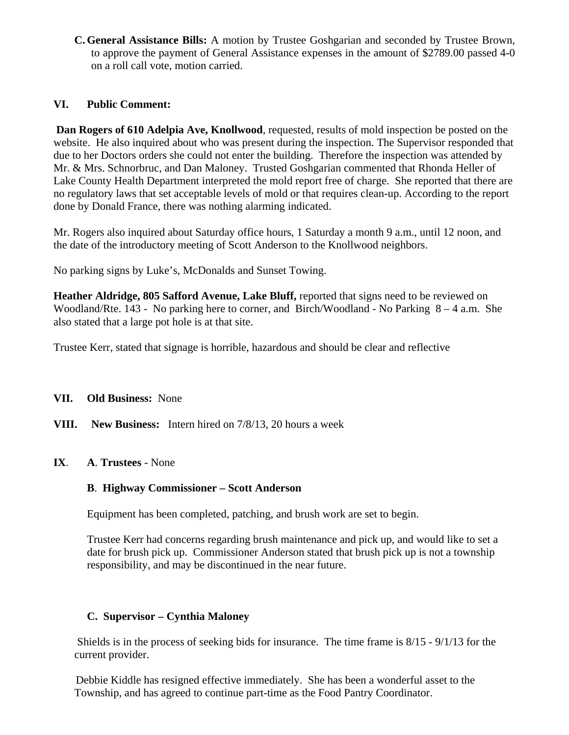**C.General Assistance Bills:** A motion by Trustee Goshgarian and seconded by Trustee Brown, to approve the payment of General Assistance expenses in the amount of \$2789.00 passed 4-0 on a roll call vote, motion carried.

### **VI. Public Comment:**

**Dan Rogers of 610 Adelpia Ave, Knollwood**, requested, results of mold inspection be posted on the website. He also inquired about who was present during the inspection. The Supervisor responded that due to her Doctors orders she could not enter the building. Therefore the inspection was attended by Mr. & Mrs. Schnorbruc, and Dan Maloney. Trusted Goshgarian commented that Rhonda Heller of Lake County Health Department interpreted the mold report free of charge. She reported that there are no regulatory laws that set acceptable levels of mold or that requires clean-up. According to the report done by Donald France, there was nothing alarming indicated.

Mr. Rogers also inquired about Saturday office hours, 1 Saturday a month 9 a.m., until 12 noon, and the date of the introductory meeting of Scott Anderson to the Knollwood neighbors.

No parking signs by Luke's, McDonalds and Sunset Towing.

**Heather Aldridge, 805 Safford Avenue, Lake Bluff,** reported that signs need to be reviewed on Woodland/Rte. 143 - No parking here to corner, and Birch/Woodland - No Parking 8 – 4 a.m. She also stated that a large pot hole is at that site.

Trustee Kerr, stated that signage is horrible, hazardous and should be clear and reflective

- **VII. Old Business:** None
- **VIII. New Business:** Intern hired on 7/8/13, 20 hours a week
- **IX**. **A**. **Trustees** None

#### **B**. **Highway Commissioner – Scott Anderson**

Equipment has been completed, patching, and brush work are set to begin.

Trustee Kerr had concerns regarding brush maintenance and pick up, and would like to set a date for brush pick up. Commissioner Anderson stated that brush pick up is not a township responsibility, and may be discontinued in the near future.

# **C. Supervisor – Cynthia Maloney**

 Shields is in the process of seeking bids for insurance. The time frame is 8/15 - 9/1/13 for the current provider.

Debbie Kiddle has resigned effective immediately. She has been a wonderful asset to the Township, and has agreed to continue part-time as the Food Pantry Coordinator.